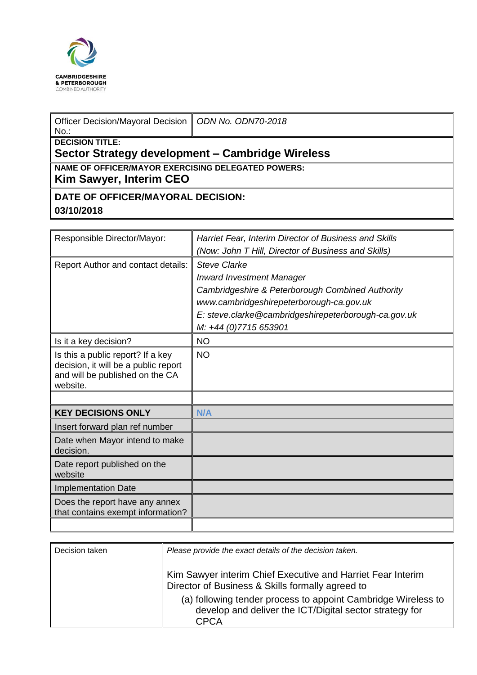

| Officer Decision/Mayoral Decision   ODN No. ODN70-2018<br>$No.$ :                    |  |  |  |  |
|--------------------------------------------------------------------------------------|--|--|--|--|
| <b>DECISION TITLE:</b><br>Sector Strategy development - Cambridge Wireless           |  |  |  |  |
| <b>NAME OF OFFICER/MAYOR EXERCISING DELEGATED POWERS:</b><br>Kim Sawyer, Interim CEO |  |  |  |  |
| DATE OF OFFICER/MAYORAL DECISION:                                                    |  |  |  |  |
| 03/10/2018                                                                           |  |  |  |  |

| Responsible Director/Mayor:                                                                                              | Harriet Fear, Interim Director of Business and Skills |
|--------------------------------------------------------------------------------------------------------------------------|-------------------------------------------------------|
|                                                                                                                          | (Now: John T Hill, Director of Business and Skills)   |
| <b>Report Author and contact details:</b>                                                                                | <b>Steve Clarke</b>                                   |
|                                                                                                                          | <b>Inward Investment Manager</b>                      |
|                                                                                                                          | Cambridgeshire & Peterborough Combined Authority      |
|                                                                                                                          | www.cambridgeshirepeterborough-ca.gov.uk              |
|                                                                                                                          | E: steve.clarke@cambridgeshirepeterborough-ca.gov.uk  |
|                                                                                                                          | M: +44 (0)7715 653901                                 |
| Is it a key decision?                                                                                                    | <b>NO</b>                                             |
| Is this a public report? If a key<br>decision, it will be a public report<br>and will be published on the CA<br>website. | <b>NO</b>                                             |
|                                                                                                                          |                                                       |
| <b>KEY DECISIONS ONLY</b>                                                                                                | N/A                                                   |
| Insert forward plan ref number                                                                                           |                                                       |
| Date when Mayor intend to make<br>decision.                                                                              |                                                       |
| Date report published on the<br>website                                                                                  |                                                       |
| <b>Implementation Date</b>                                                                                               |                                                       |
| Does the report have any annex<br>that contains exempt information?                                                      |                                                       |
|                                                                                                                          |                                                       |

| Decision taken | Please provide the exact details of the decision taken.                                                                          |
|----------------|----------------------------------------------------------------------------------------------------------------------------------|
|                | Kim Sawyer interim Chief Executive and Harriet Fear Interim<br>Director of Business & Skills formally agreed to                  |
|                | (a) following tender process to appoint Cambridge Wireless to<br>develop and deliver the ICT/Digital sector strategy for<br>CPCA |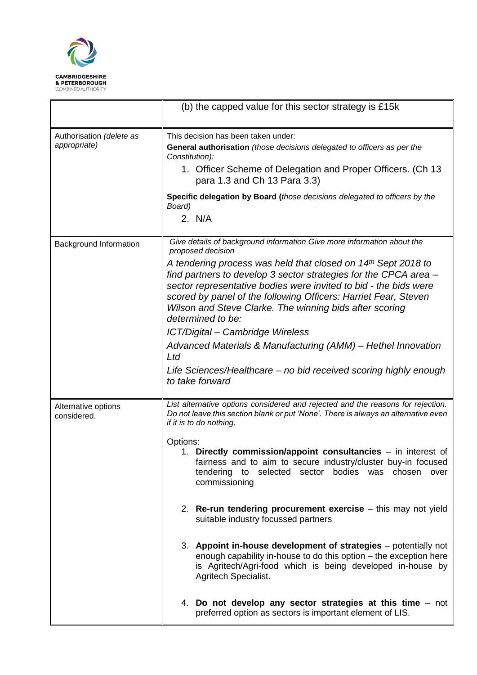

|                                    | (b) the capped value for this sector strategy is £15k                                                                                                                                                                                                                                                                                                    |  |  |  |  |  |
|------------------------------------|----------------------------------------------------------------------------------------------------------------------------------------------------------------------------------------------------------------------------------------------------------------------------------------------------------------------------------------------------------|--|--|--|--|--|
| Authorisation (delete as           | This decision has been taken under:                                                                                                                                                                                                                                                                                                                      |  |  |  |  |  |
| appropriate)                       | General authorisation (those decisions delegated to officers as per the<br>Constitution):                                                                                                                                                                                                                                                                |  |  |  |  |  |
|                                    | 1. Officer Scheme of Delegation and Proper Officers. (Ch 13<br>para 1.3 and Ch 13 Para 3.3)                                                                                                                                                                                                                                                              |  |  |  |  |  |
|                                    | Specific delegation by Board (those decisions delegated to officers by the<br>Board)                                                                                                                                                                                                                                                                     |  |  |  |  |  |
|                                    | 2. N/A                                                                                                                                                                                                                                                                                                                                                   |  |  |  |  |  |
| Background Information             | Give details of background information Give more information about the<br>proposed decision                                                                                                                                                                                                                                                              |  |  |  |  |  |
|                                    | A tendering process was held that closed on 14th Sept 2018 to<br>find partners to develop 3 sector strategies for the CPCA area -<br>sector representative bodies were invited to bid - the bids were<br>scored by panel of the following Officers: Harriet Fear, Steven<br>Wilson and Steve Clarke. The winning bids after scoring<br>determined to be: |  |  |  |  |  |
|                                    | ICT/Digital - Cambridge Wireless                                                                                                                                                                                                                                                                                                                         |  |  |  |  |  |
|                                    | Advanced Materials & Manufacturing (AMM) - Hethel Innovation<br>Ltd                                                                                                                                                                                                                                                                                      |  |  |  |  |  |
|                                    | Life Sciences/Healthcare – no bid received scoring highly enough<br>to take forward                                                                                                                                                                                                                                                                      |  |  |  |  |  |
| Alternative options<br>considered. | List alternative options considered and rejected and the reasons for rejection.<br>Do not leave this section blank or put 'None'. There is always an alternative even<br>if it is to do nothing.                                                                                                                                                         |  |  |  |  |  |
|                                    | Options:<br>1. Directly commission/appoint consultancies – in interest of<br>fairness and to aim to secure industry/cluster buy-in focused<br>tendering to selected sector bodies was chosen<br>over<br>commissioning                                                                                                                                    |  |  |  |  |  |
|                                    | 2. Re-run tendering procurement exercise – this may not yield<br>suitable industry focussed partners                                                                                                                                                                                                                                                     |  |  |  |  |  |
|                                    | 3. Appoint in-house development of strategies – potentially not<br>enough capability in-house to do this option – the exception here<br>is Agritech/Agri-food which is being developed in-house by<br>Agritech Specialist.                                                                                                                               |  |  |  |  |  |
|                                    | 4. Do not develop any sector strategies at this time - not<br>preferred option as sectors is important element of LIS.                                                                                                                                                                                                                                   |  |  |  |  |  |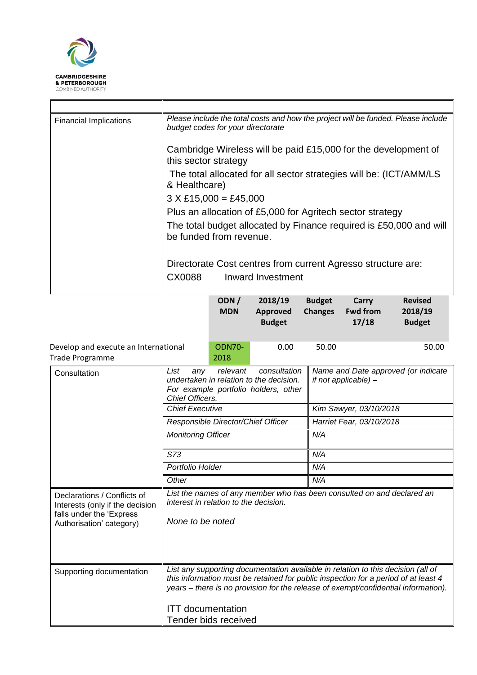

| <b>Financial Implications</b> | Please include the total costs and how the project will be funded. Please include<br>budget codes for your directorate |  |  |  |  |  |
|-------------------------------|------------------------------------------------------------------------------------------------------------------------|--|--|--|--|--|
|                               | Cambridge Wireless will be paid £15,000 for the development of<br>this sector strategy                                 |  |  |  |  |  |
|                               | The total allocated for all sector strategies will be: (ICT/AMM/LS<br>& Healthcare)                                    |  |  |  |  |  |
|                               | $3 \times \text{\pounds}15,000 = \text{\pounds}45,000$                                                                 |  |  |  |  |  |
|                               | Plus an allocation of £5,000 for Agritech sector strategy                                                              |  |  |  |  |  |
|                               | The total budget allocated by Finance required is £50,000 and will<br>be funded from revenue.                          |  |  |  |  |  |
|                               | Directorate Cost centres from current Agresso structure are:<br>Inward Investment<br>CX0088                            |  |  |  |  |  |

|                                                                                                                        |                                                                                                                                                                                                                                                                                          | ODN/<br><b>MDN</b>                 | 2018/19<br><b>Approved</b><br><b>Budget</b> | <b>Budget</b><br><b>Changes</b> | Carry<br><b>Fwd from</b><br>17/18                           | <b>Revised</b><br>2018/19<br><b>Budget</b> |  |
|------------------------------------------------------------------------------------------------------------------------|------------------------------------------------------------------------------------------------------------------------------------------------------------------------------------------------------------------------------------------------------------------------------------------|------------------------------------|---------------------------------------------|---------------------------------|-------------------------------------------------------------|--------------------------------------------|--|
| Develop and execute an International<br><b>Trade Programme</b>                                                         |                                                                                                                                                                                                                                                                                          | <b>ODN70-</b><br>2018              | 0.00                                        | 50.00                           |                                                             | 50.00                                      |  |
| Consultation                                                                                                           | List<br>consultation<br>relevant<br>any<br>undertaken in relation to the decision.<br>For example portfolio holders, other<br>Chief Officers.                                                                                                                                            |                                    |                                             |                                 | Name and Date approved (or indicate<br>if not applicable) - |                                            |  |
|                                                                                                                        | <b>Chief Executive</b>                                                                                                                                                                                                                                                                   |                                    |                                             |                                 | Kim Sawyer, 03/10/2018                                      |                                            |  |
|                                                                                                                        |                                                                                                                                                                                                                                                                                          | Responsible Director/Chief Officer |                                             |                                 | Harriet Fear, 03/10/2018                                    |                                            |  |
|                                                                                                                        | <b>Monitoring Officer</b>                                                                                                                                                                                                                                                                |                                    |                                             | N/A                             |                                                             |                                            |  |
| <b>S73</b><br>Portfolio Holder                                                                                         |                                                                                                                                                                                                                                                                                          |                                    |                                             | N/A                             |                                                             |                                            |  |
|                                                                                                                        |                                                                                                                                                                                                                                                                                          |                                    |                                             | N/A                             |                                                             |                                            |  |
|                                                                                                                        | Other                                                                                                                                                                                                                                                                                    |                                    |                                             | N/A                             |                                                             |                                            |  |
| Declarations / Conflicts of<br>Interests (only if the decision<br>falls under the 'Express<br>Authorisation' category) | List the names of any member who has been consulted on and declared an<br>interest in relation to the decision.<br>None to be noted                                                                                                                                                      |                                    |                                             |                                 |                                                             |                                            |  |
| Supporting documentation                                                                                               | List any supporting documentation available in relation to this decision (all of<br>this information must be retained for public inspection for a period of at least 4<br>years – there is no provision for the release of exempt/confidential information).<br><b>ITT</b> documentation |                                    |                                             |                                 |                                                             |                                            |  |
|                                                                                                                        |                                                                                                                                                                                                                                                                                          | Tender bids received               |                                             |                                 |                                                             |                                            |  |